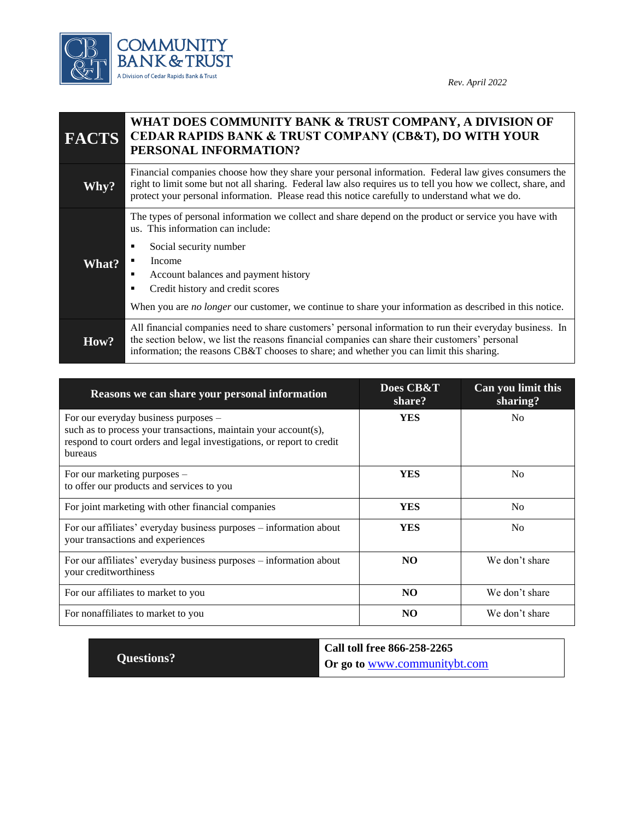

| <b>FACTS</b> | WHAT DOES COMMUNITY BANK & TRUST COMPANY, A DIVISION OF<br>CEDAR RAPIDS BANK & TRUST COMPANY (CB&T), DO WITH YOUR<br>PERSONAL INFORMATION?                                                                                                                                                                                                                                                  |  |
|--------------|---------------------------------------------------------------------------------------------------------------------------------------------------------------------------------------------------------------------------------------------------------------------------------------------------------------------------------------------------------------------------------------------|--|
| Why?         | Financial companies choose how they share your personal information. Federal law gives consumers the<br>right to limit some but not all sharing. Federal law also requires us to tell you how we collect, share, and<br>protect your personal information. Please read this notice carefully to understand what we do.                                                                      |  |
| What?        | The types of personal information we collect and share depend on the product or service you have with<br>us. This information can include:<br>Social security number<br>п<br>Income<br>Account balances and payment history<br>п<br>Credit history and credit scores<br>п<br>When you are <i>no longer</i> our customer, we continue to share your information as described in this notice. |  |
| How?         | All financial companies need to share customers' personal information to run their everyday business. In<br>the section below, we list the reasons financial companies can share their customers' personal<br>information; the reasons CB&T chooses to share; and whether you can limit this sharing.                                                                                       |  |

| Reasons we can share your personal information                                                                                                                                              | Does CB&T<br>share? | Can you limit this<br>sharing? |
|---------------------------------------------------------------------------------------------------------------------------------------------------------------------------------------------|---------------------|--------------------------------|
| For our everyday business purposes –<br>such as to process your transactions, maintain your account(s),<br>respond to court orders and legal investigations, or report to credit<br>bureaus | <b>YES</b>          | No                             |
| For our marketing purposes $-$<br>to offer our products and services to you                                                                                                                 | <b>YES</b>          | N <sub>0</sub>                 |
| For joint marketing with other financial companies                                                                                                                                          | <b>YES</b>          | N <sub>0</sub>                 |
| For our affiliates' everyday business purposes – information about<br>your transactions and experiences                                                                                     | <b>YES</b>          | N <sub>0</sub>                 |
| For our affiliates' everyday business purposes – information about<br>your creditworthiness                                                                                                 | NO.                 | We don't share                 |
| For our affiliates to market to you                                                                                                                                                         | N <sub>O</sub>      | We don't share                 |
| For nonaffiliates to market to you                                                                                                                                                          | N <sub>O</sub>      | We don't share                 |

|                   | Call toll free 866-258-2265         |
|-------------------|-------------------------------------|
| <b>Questions?</b> | Or go to <u>www.communitybt.com</u> |